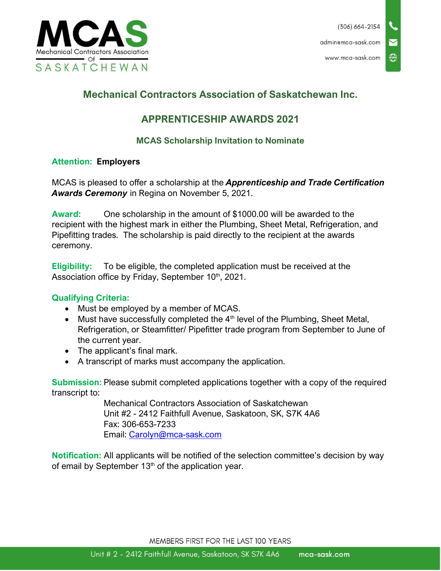

## **Mechanical Contractors Association of Saskatchewan Inc.**

### **APPRENTICESHIP AWARDS 2021**

### **MCAS Scholarship Invitation to Nominate**

#### **Attention: Employers**

MCAS is pleased to offer a scholarship at the *Apprenticeship and Trade Certification Awards Ceremony* in Regina on November 5, 2021.

**Award:** One scholarship in the amount of \$1000.00 will be awarded to the recipient with the highest mark in either the Plumbing, Sheet Metal, Refrigeration, and Pipefitting trades. The scholarship is paid directly to the recipient at the awards ceremony.

**Eligibility:** To be eligible, the completed application must be received at the Association office by Friday, September 10<sup>th</sup>, 2021.

#### **Qualifying Criteria:**

- Must be employed by a member of MCAS.
- Must have successfully completed the  $4<sup>th</sup>$  level of the Plumbing, Sheet Metal, Refrigeration, or Steamfitter/ Pipefitter trade program from September to June of the current year.
- The applicant's final mark.
- A transcript of marks must accompany the application.

**Submission:** Please submit completed applications together with a copy of the required transcript to:

> Mechanical Contractors Association of Saskatchewan Unit #2 - 2412 Faithfull Avenue, Saskatoon, SK, S7K 4A6 Fax: 306-653-7233 Email: [Carolyn@mca-sask.com](mailto:Carolyn@mca-sask.com)

**Notification:** All applicants will be notified of the selection committee's decision by way of email by September  $13<sup>th</sup>$  of the application year.

MEMBERS FIRST FOR THE LAST 100 YEARS